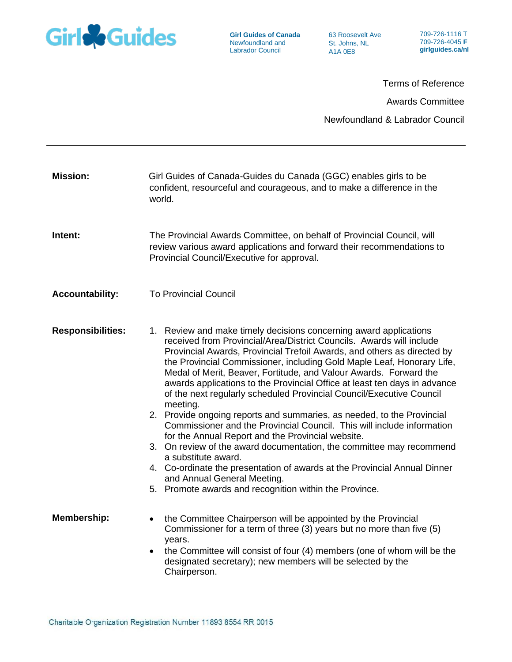

**Girl Guides of Canada** Newfoundland and Labrador Council

63 Roosevelt Ave St. Johns, NL A1A 0E8

709-726-1116 T 709-726-4045 **F girlguides.ca/nl**

Terms of Reference Awards Committee Newfoundland & Labrador Council

| <b>Mission:</b>          | Girl Guides of Canada-Guides du Canada (GGC) enables girls to be<br>confident, resourceful and courageous, and to make a difference in the<br>world.                                                                                                                                                                                                                                                                                                                                                                                                                                                                                                                                                                                                                                                                                                                                                                                                                                                               |
|--------------------------|--------------------------------------------------------------------------------------------------------------------------------------------------------------------------------------------------------------------------------------------------------------------------------------------------------------------------------------------------------------------------------------------------------------------------------------------------------------------------------------------------------------------------------------------------------------------------------------------------------------------------------------------------------------------------------------------------------------------------------------------------------------------------------------------------------------------------------------------------------------------------------------------------------------------------------------------------------------------------------------------------------------------|
| Intent:                  | The Provincial Awards Committee, on behalf of Provincial Council, will<br>review various award applications and forward their recommendations to<br>Provincial Council/Executive for approval.                                                                                                                                                                                                                                                                                                                                                                                                                                                                                                                                                                                                                                                                                                                                                                                                                     |
| <b>Accountability:</b>   | <b>To Provincial Council</b>                                                                                                                                                                                                                                                                                                                                                                                                                                                                                                                                                                                                                                                                                                                                                                                                                                                                                                                                                                                       |
| <b>Responsibilities:</b> | 1. Review and make timely decisions concerning award applications<br>received from Provincial/Area/District Councils. Awards will include<br>Provincial Awards, Provincial Trefoil Awards, and others as directed by<br>the Provincial Commissioner, including Gold Maple Leaf, Honorary Life,<br>Medal of Merit, Beaver, Fortitude, and Valour Awards. Forward the<br>awards applications to the Provincial Office at least ten days in advance<br>of the next regularly scheduled Provincial Council/Executive Council<br>meeting.<br>2. Provide ongoing reports and summaries, as needed, to the Provincial<br>Commissioner and the Provincial Council. This will include information<br>for the Annual Report and the Provincial website.<br>3. On review of the award documentation, the committee may recommend<br>a substitute award.<br>4. Co-ordinate the presentation of awards at the Provincial Annual Dinner<br>and Annual General Meeting.<br>5. Promote awards and recognition within the Province. |
| <b>Membership:</b>       | the Committee Chairperson will be appointed by the Provincial<br>$\bullet$<br>Commissioner for a term of three (3) years but no more than five (5)<br>years.<br>the Committee will consist of four (4) members (one of whom will be the<br>$\bullet$<br>designated secretary); new members will be selected by the<br>Chairperson.                                                                                                                                                                                                                                                                                                                                                                                                                                                                                                                                                                                                                                                                                 |